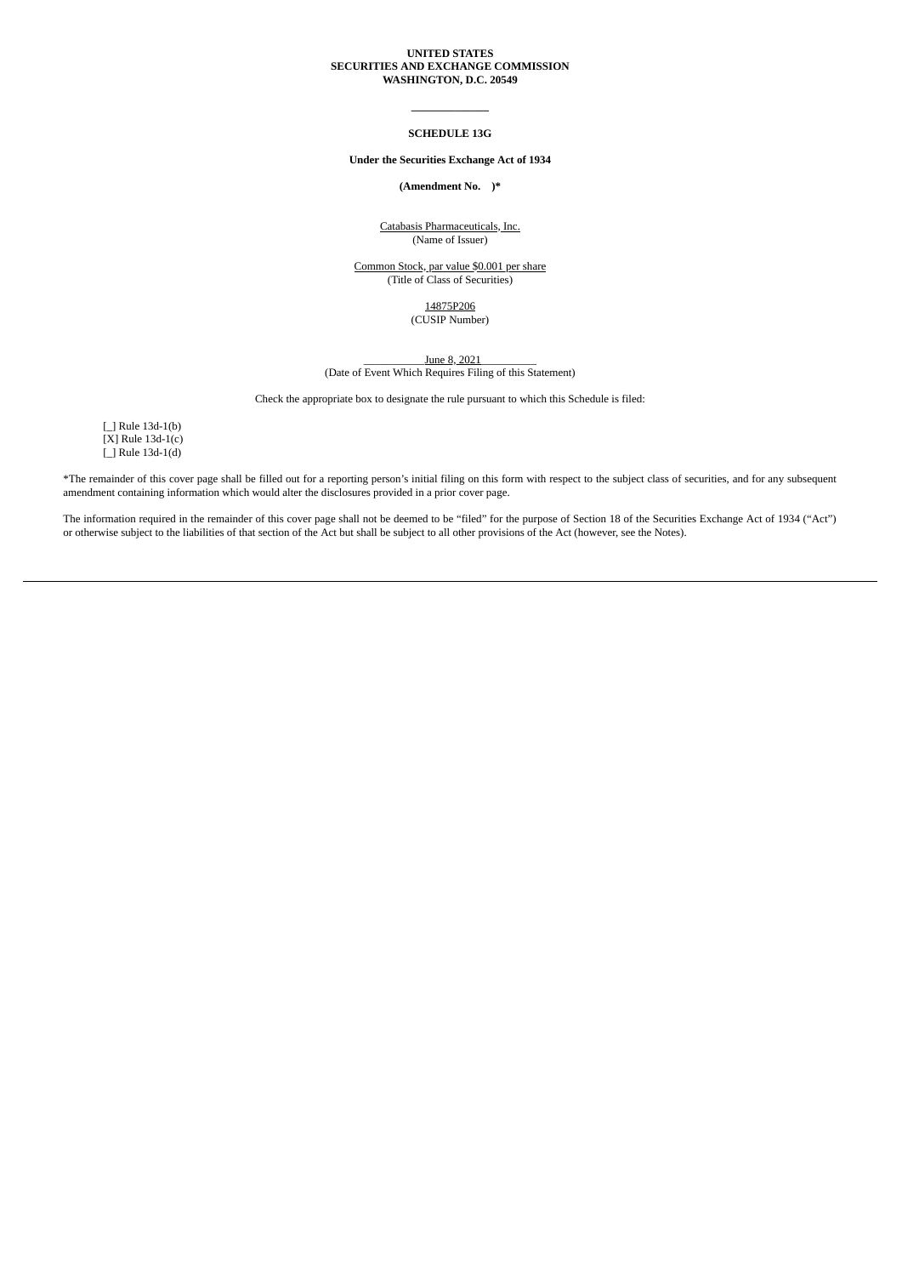## **UNITED STATES SECURITIES AND EXCHANGE COMMISSION WASHINGTON, D.C. 20549**

## **\_\_\_\_\_\_\_\_\_\_\_\_\_\_ SCHEDULE 13G**

### **Under the Securities Exchange Act of 1934**

**(Amendment No. )\***

Catabasis Pharmaceuticals, Inc. (Name of Issuer)

Common Stock, par value \$0.001 per share (Title of Class of Securities)

> 14875P206 (CUSIP Number)

\_\_\_\_\_\_\_\_\_\_\_June 8, 2021\_\_\_\_\_\_\_\_\_\_ (Date of Event Which Requires Filing of this Statement)

Check the appropriate box to designate the rule pursuant to which this Schedule is filed:

[ ] Rule 13d-1(b)  $[X]$  Rule 13d-1(c) [\_] Rule 13d-1(d)

\*The remainder of this cover page shall be filled out for a reporting person's initial filing on this form with respect to the subject class of securities, and for any subsequent amendment containing information which would alter the disclosures provided in a prior cover page.

The information required in the remainder of this cover page shall not be deemed to be "filed" for the purpose of Section 18 of the Securities Exchange Act of 1934 ("Act") or otherwise subject to the liabilities of that section of the Act but shall be subject to all other provisions of the Act (however, see the Notes).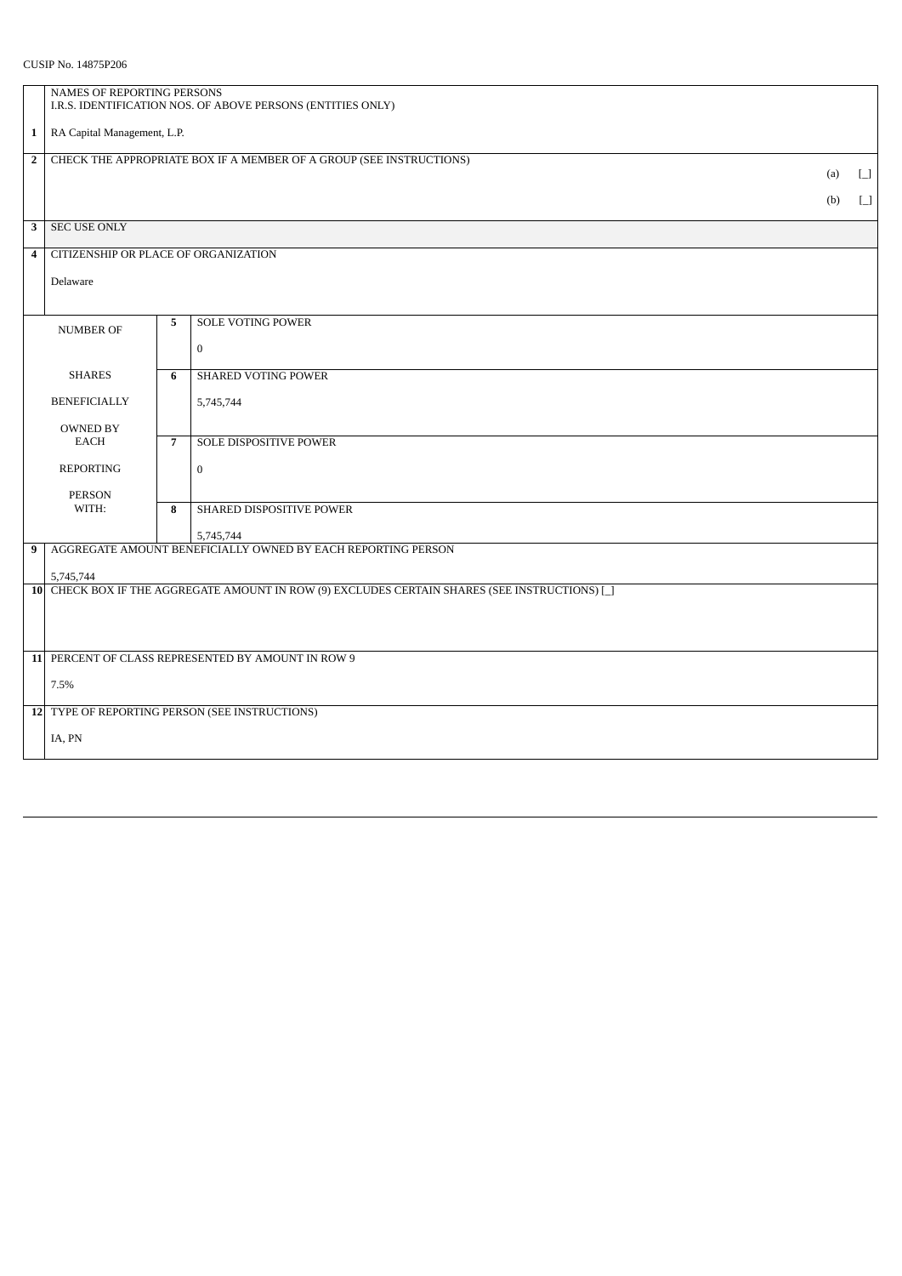CUSIP No. 14875P206

|                                                                                     | NAMES OF REPORTING PERSONS<br>I.R.S. IDENTIFICATION NOS. OF ABOVE PERSONS (ENTITIES ONLY)                 |                |                                                              |     |                                                  |  |  |
|-------------------------------------------------------------------------------------|-----------------------------------------------------------------------------------------------------------|----------------|--------------------------------------------------------------|-----|--------------------------------------------------|--|--|
| $\mathbf{1}$                                                                        | RA Capital Management, L.P.                                                                               |                |                                                              |     |                                                  |  |  |
| $\overline{2}$                                                                      | CHECK THE APPROPRIATE BOX IF A MEMBER OF A GROUP (SEE INSTRUCTIONS)<br>(a)                                |                |                                                              |     |                                                  |  |  |
|                                                                                     |                                                                                                           |                |                                                              | (b) | $\Box$<br>$\begin{bmatrix} 1 \\ 1 \end{bmatrix}$ |  |  |
| 3                                                                                   | <b>SEC USE ONLY</b>                                                                                       |                |                                                              |     |                                                  |  |  |
| 4                                                                                   | CITIZENSHIP OR PLACE OF ORGANIZATION                                                                      |                |                                                              |     |                                                  |  |  |
|                                                                                     | Delaware                                                                                                  |                |                                                              |     |                                                  |  |  |
|                                                                                     |                                                                                                           |                |                                                              |     |                                                  |  |  |
|                                                                                     | <b>NUMBER OF</b>                                                                                          | 5              | <b>SOLE VOTING POWER</b>                                     |     |                                                  |  |  |
| <b>SHARES</b><br><b>BENEFICIALLY</b><br><b>OWNED BY</b><br>EACH<br><b>REPORTING</b> |                                                                                                           | 6              | $\boldsymbol{0}$<br><b>SHARED VOTING POWER</b>               |     |                                                  |  |  |
|                                                                                     |                                                                                                           |                | 5,745,744                                                    |     |                                                  |  |  |
|                                                                                     |                                                                                                           |                |                                                              |     |                                                  |  |  |
|                                                                                     |                                                                                                           | $\overline{7}$ | <b>SOLE DISPOSITIVE POWER</b>                                |     |                                                  |  |  |
|                                                                                     |                                                                                                           |                | $\bf{0}$                                                     |     |                                                  |  |  |
|                                                                                     | <b>PERSON</b><br>WITH:                                                                                    | 8              | SHARED DISPOSITIVE POWER                                     |     |                                                  |  |  |
|                                                                                     |                                                                                                           |                | 5,745,744                                                    |     |                                                  |  |  |
| 9                                                                                   |                                                                                                           |                | AGGREGATE AMOUNT BENEFICIALLY OWNED BY EACH REPORTING PERSON |     |                                                  |  |  |
|                                                                                     | 5,745,744<br>10 CHECK BOX IF THE AGGREGATE AMOUNT IN ROW (9) EXCLUDES CERTAIN SHARES (SEE INSTRUCTIONS) [ |                |                                                              |     |                                                  |  |  |
|                                                                                     |                                                                                                           |                |                                                              |     |                                                  |  |  |
|                                                                                     | 11 PERCENT OF CLASS REPRESENTED BY AMOUNT IN ROW 9                                                        |                |                                                              |     |                                                  |  |  |
|                                                                                     | 7.5%                                                                                                      |                |                                                              |     |                                                  |  |  |
|                                                                                     | 12 TYPE OF REPORTING PERSON (SEE INSTRUCTIONS)                                                            |                |                                                              |     |                                                  |  |  |
|                                                                                     | IA, PN                                                                                                    |                |                                                              |     |                                                  |  |  |
|                                                                                     |                                                                                                           |                |                                                              |     |                                                  |  |  |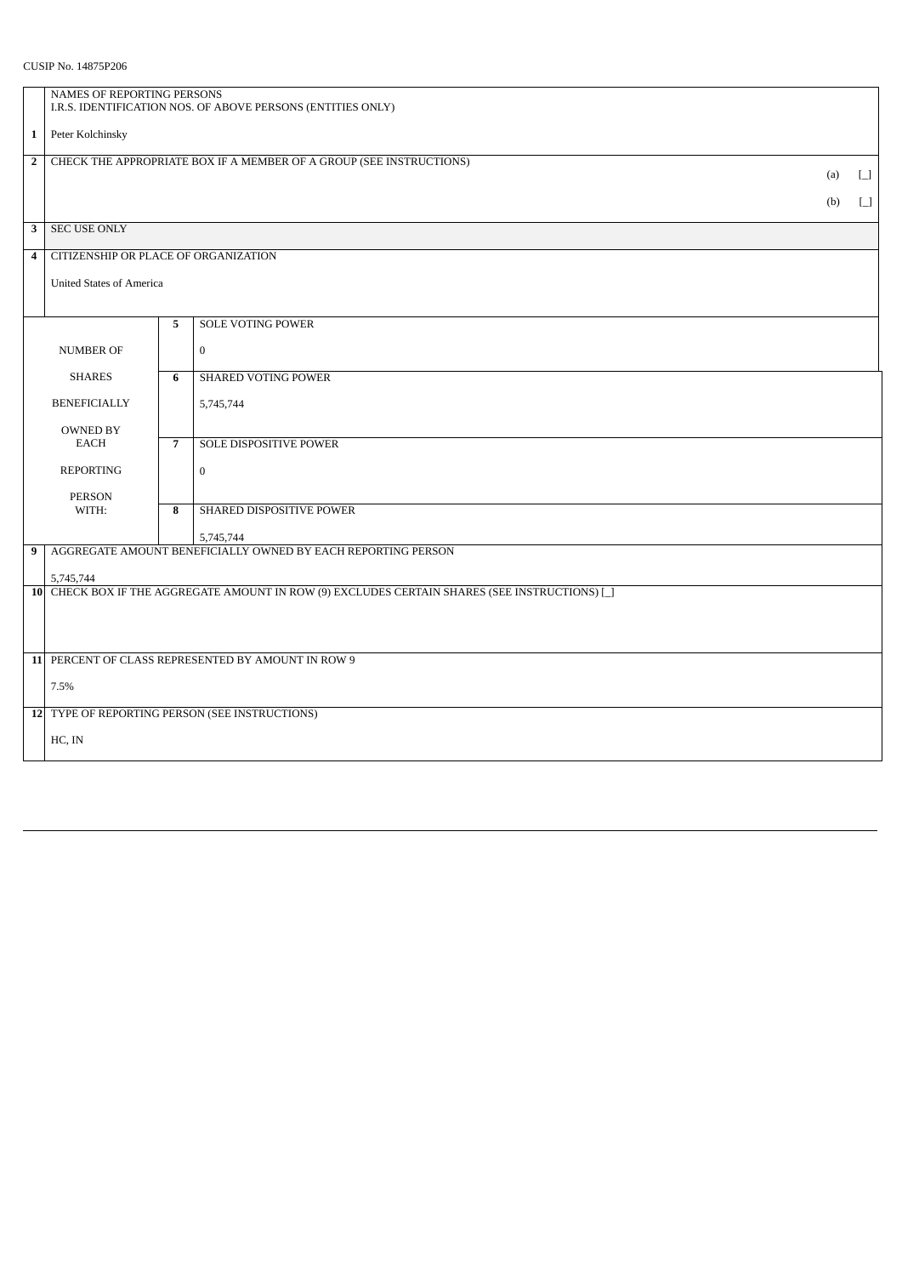CUSIP No. 14875P206

|                                 | NAMES OF REPORTING PERSONS                                  |                                                                     |                                                                                              |        |        |  |  |
|---------------------------------|-------------------------------------------------------------|---------------------------------------------------------------------|----------------------------------------------------------------------------------------------|--------|--------|--|--|
|                                 | I.R.S. IDENTIFICATION NOS. OF ABOVE PERSONS (ENTITIES ONLY) |                                                                     |                                                                                              |        |        |  |  |
| $\mathbf{1}$                    | Peter Kolchinsky                                            |                                                                     |                                                                                              |        |        |  |  |
| $\overline{2}$                  |                                                             | CHECK THE APPROPRIATE BOX IF A MEMBER OF A GROUP (SEE INSTRUCTIONS) | (a)                                                                                          | $\Box$ |        |  |  |
|                                 |                                                             |                                                                     |                                                                                              |        | $\Box$ |  |  |
|                                 | (b)                                                         |                                                                     |                                                                                              |        |        |  |  |
| 3                               | <b>SEC USE ONLY</b>                                         |                                                                     |                                                                                              |        |        |  |  |
| $\overline{4}$                  | CITIZENSHIP OR PLACE OF ORGANIZATION                        |                                                                     |                                                                                              |        |        |  |  |
|                                 | <b>United States of America</b>                             |                                                                     |                                                                                              |        |        |  |  |
|                                 |                                                             |                                                                     | <b>SOLE VOTING POWER</b>                                                                     |        |        |  |  |
|                                 |                                                             | 5                                                                   |                                                                                              |        |        |  |  |
| <b>NUMBER OF</b>                |                                                             |                                                                     | $\mathbf{0}$                                                                                 |        |        |  |  |
| <b>SHARES</b>                   |                                                             | 6                                                                   | <b>SHARED VOTING POWER</b>                                                                   |        |        |  |  |
| <b>BENEFICIALLY</b>             |                                                             |                                                                     | 5,745,744                                                                                    |        |        |  |  |
| <b>OWNED BY</b>                 |                                                             |                                                                     |                                                                                              |        |        |  |  |
| <b>EACH</b><br><b>REPORTING</b> |                                                             | $\overline{7}$                                                      | SOLE DISPOSITIVE POWER                                                                       |        |        |  |  |
|                                 |                                                             |                                                                     | $\bf{0}$                                                                                     |        |        |  |  |
|                                 | <b>PERSON</b><br>WITH:                                      | 8                                                                   | SHARED DISPOSITIVE POWER                                                                     |        |        |  |  |
|                                 |                                                             |                                                                     |                                                                                              |        |        |  |  |
| 9                               |                                                             |                                                                     | 5,745,744<br>AGGREGATE AMOUNT BENEFICIALLY OWNED BY EACH REPORTING PERSON                    |        |        |  |  |
|                                 | 5,745,744                                                   |                                                                     |                                                                                              |        |        |  |  |
|                                 |                                                             |                                                                     | 10 CHECK BOX IF THE AGGREGATE AMOUNT IN ROW (9) EXCLUDES CERTAIN SHARES (SEE INSTRUCTIONS) [ |        |        |  |  |
|                                 |                                                             |                                                                     |                                                                                              |        |        |  |  |
|                                 |                                                             |                                                                     |                                                                                              |        |        |  |  |
|                                 | 11 PERCENT OF CLASS REPRESENTED BY AMOUNT IN ROW 9          |                                                                     |                                                                                              |        |        |  |  |
|                                 | 7.5%                                                        |                                                                     |                                                                                              |        |        |  |  |
|                                 | 12 TYPE OF REPORTING PERSON (SEE INSTRUCTIONS)              |                                                                     |                                                                                              |        |        |  |  |
|                                 | HC, IN                                                      |                                                                     |                                                                                              |        |        |  |  |
|                                 |                                                             |                                                                     |                                                                                              |        |        |  |  |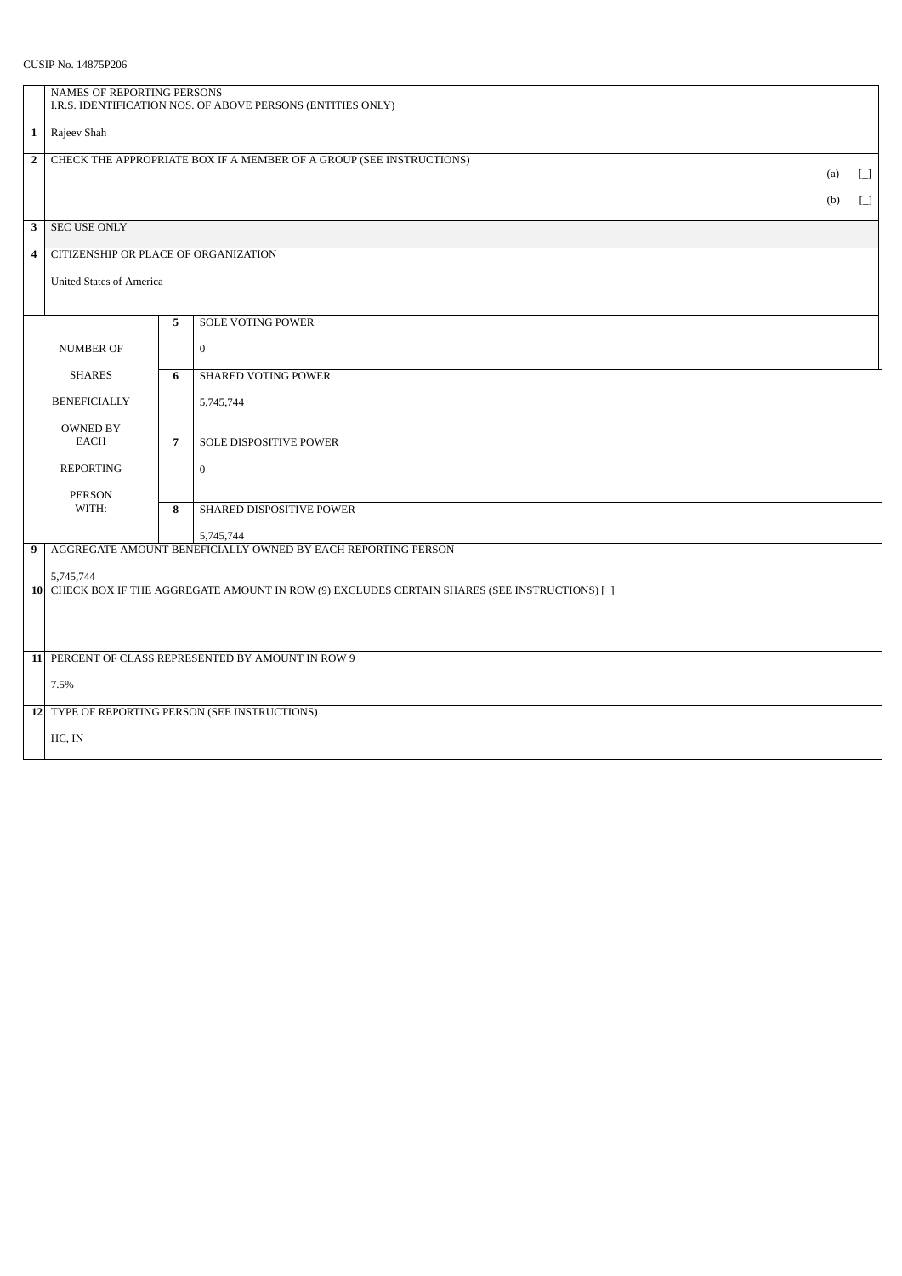|                                                | NAMES OF REPORTING PERSONS                                                 |                                      |                                                                                              |     |                                        |  |  |
|------------------------------------------------|----------------------------------------------------------------------------|--------------------------------------|----------------------------------------------------------------------------------------------|-----|----------------------------------------|--|--|
|                                                | I.R.S. IDENTIFICATION NOS. OF ABOVE PERSONS (ENTITIES ONLY)                |                                      |                                                                                              |     |                                        |  |  |
| $\mathbf{1}$                                   | Rajeev Shah                                                                |                                      |                                                                                              |     |                                        |  |  |
| $\overline{2}$                                 | CHECK THE APPROPRIATE BOX IF A MEMBER OF A GROUP (SEE INSTRUCTIONS)<br>(a) |                                      |                                                                                              |     |                                        |  |  |
|                                                |                                                                            |                                      |                                                                                              |     | $\Box$                                 |  |  |
|                                                |                                                                            |                                      |                                                                                              | (b) | $\begin{bmatrix} 1 \\ 1 \end{bmatrix}$ |  |  |
| 3                                              | <b>SEC USE ONLY</b>                                                        |                                      |                                                                                              |     |                                        |  |  |
| $\overline{\mathbf{4}}$                        |                                                                            | CITIZENSHIP OR PLACE OF ORGANIZATION |                                                                                              |     |                                        |  |  |
|                                                |                                                                            | <b>United States of America</b>      |                                                                                              |     |                                        |  |  |
|                                                |                                                                            |                                      |                                                                                              |     |                                        |  |  |
|                                                |                                                                            | 5                                    | <b>SOLE VOTING POWER</b>                                                                     |     |                                        |  |  |
| <b>NUMBER OF</b>                               |                                                                            |                                      | $\bf{0}$                                                                                     |     |                                        |  |  |
|                                                | <b>SHARES</b>                                                              | 6                                    | <b>SHARED VOTING POWER</b>                                                                   |     |                                        |  |  |
|                                                |                                                                            |                                      |                                                                                              |     |                                        |  |  |
| <b>BENEFICIALLY</b>                            |                                                                            |                                      | 5,745,744                                                                                    |     |                                        |  |  |
| <b>OWNED BY</b>                                |                                                                            |                                      |                                                                                              |     |                                        |  |  |
| EACH                                           |                                                                            | $\overline{7}$                       | SOLE DISPOSITIVE POWER                                                                       |     |                                        |  |  |
| <b>REPORTING</b>                               |                                                                            |                                      | $\bf{0}$                                                                                     |     |                                        |  |  |
|                                                | <b>PERSON</b>                                                              |                                      |                                                                                              |     |                                        |  |  |
|                                                | WITH:                                                                      | 8                                    | SHARED DISPOSITIVE POWER                                                                     |     |                                        |  |  |
| 9                                              |                                                                            |                                      | 5,745,744<br>AGGREGATE AMOUNT BENEFICIALLY OWNED BY EACH REPORTING PERSON                    |     |                                        |  |  |
|                                                |                                                                            |                                      |                                                                                              |     |                                        |  |  |
|                                                | 5,745,744                                                                  |                                      | 10 CHECK BOX IF THE AGGREGATE AMOUNT IN ROW (9) EXCLUDES CERTAIN SHARES (SEE INSTRUCTIONS) [ |     |                                        |  |  |
|                                                |                                                                            |                                      |                                                                                              |     |                                        |  |  |
|                                                |                                                                            |                                      |                                                                                              |     |                                        |  |  |
|                                                | 11 PERCENT OF CLASS REPRESENTED BY AMOUNT IN ROW 9                         |                                      |                                                                                              |     |                                        |  |  |
|                                                |                                                                            |                                      |                                                                                              |     |                                        |  |  |
|                                                | 7.5%                                                                       |                                      |                                                                                              |     |                                        |  |  |
| 12 TYPE OF REPORTING PERSON (SEE INSTRUCTIONS) |                                                                            |                                      |                                                                                              |     |                                        |  |  |
| HC, IN                                         |                                                                            |                                      |                                                                                              |     |                                        |  |  |
|                                                |                                                                            |                                      |                                                                                              |     |                                        |  |  |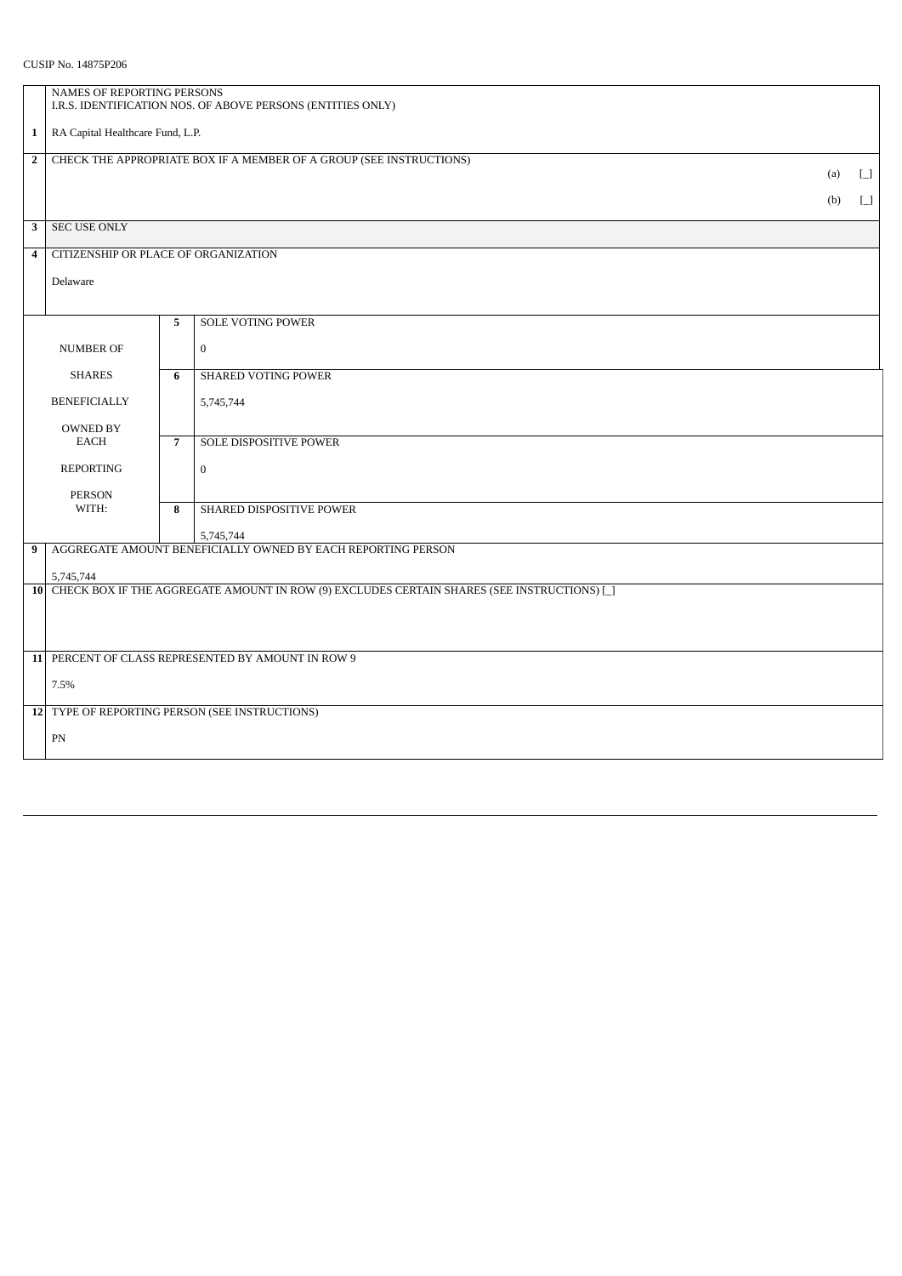## CUSIP No. 14875P206

| NAMES OF REPORTING PERSONS<br>I.R.S. IDENTIFICATION NOS. OF ABOVE PERSONS (ENTITIES ONLY) |       |                            |                                                                                                                                                                                                       |                                         |  |  |
|-------------------------------------------------------------------------------------------|-------|----------------------------|-------------------------------------------------------------------------------------------------------------------------------------------------------------------------------------------------------|-----------------------------------------|--|--|
| RA Capital Healthcare Fund, L.P.                                                          |       |                            |                                                                                                                                                                                                       |                                         |  |  |
| CHECK THE APPROPRIATE BOX IF A MEMBER OF A GROUP (SEE INSTRUCTIONS)<br>(a)                |       |                            |                                                                                                                                                                                                       |                                         |  |  |
|                                                                                           |       |                            |                                                                                                                                                                                                       | $\begin{bmatrix} 1 \\ -1 \end{bmatrix}$ |  |  |
| <b>SEC USE ONLY</b>                                                                       |       |                            |                                                                                                                                                                                                       |                                         |  |  |
| CITIZENSHIP OR PLACE OF ORGANIZATION<br>$\overline{\mathbf{4}}$                           |       |                            |                                                                                                                                                                                                       |                                         |  |  |
| Delaware                                                                                  |       |                            |                                                                                                                                                                                                       |                                         |  |  |
|                                                                                           | 5     | <b>SOLE VOTING POWER</b>   |                                                                                                                                                                                                       |                                         |  |  |
| <b>NUMBER OF</b>                                                                          |       | $\mathbf 0$                |                                                                                                                                                                                                       |                                         |  |  |
| <b>SHARES</b>                                                                             |       | <b>SHARED VOTING POWER</b> |                                                                                                                                                                                                       |                                         |  |  |
| <b>BENEFICIALLY</b>                                                                       |       | 5,745,744                  |                                                                                                                                                                                                       |                                         |  |  |
| <b>OWNED BY</b><br>EACH<br><b>REPORTING</b>                                               |       | SOLE DISPOSITIVE POWER     |                                                                                                                                                                                                       |                                         |  |  |
|                                                                                           |       | $\mathbf{0}$               |                                                                                                                                                                                                       |                                         |  |  |
| <b>PERSON</b>                                                                             |       |                            |                                                                                                                                                                                                       |                                         |  |  |
|                                                                                           |       |                            |                                                                                                                                                                                                       |                                         |  |  |
|                                                                                           |       |                            |                                                                                                                                                                                                       |                                         |  |  |
| 5,745,744                                                                                 |       |                            |                                                                                                                                                                                                       |                                         |  |  |
|                                                                                           |       |                            |                                                                                                                                                                                                       |                                         |  |  |
|                                                                                           |       |                            |                                                                                                                                                                                                       |                                         |  |  |
| 11 PERCENT OF CLASS REPRESENTED BY AMOUNT IN ROW 9                                        |       |                            |                                                                                                                                                                                                       |                                         |  |  |
| 7.5%                                                                                      |       |                            |                                                                                                                                                                                                       |                                         |  |  |
| 12 TYPE OF REPORTING PERSON (SEE INSTRUCTIONS)                                            |       |                            |                                                                                                                                                                                                       |                                         |  |  |
| PN                                                                                        |       |                            |                                                                                                                                                                                                       |                                         |  |  |
|                                                                                           | WITH: | 6<br>$\overline{7}$<br>8   | SHARED DISPOSITIVE POWER<br>5,745,744<br>AGGREGATE AMOUNT BENEFICIALLY OWNED BY EACH REPORTING PERSON<br>10 CHECK BOX IF THE AGGREGATE AMOUNT IN ROW (9) EXCLUDES CERTAIN SHARES (SEE INSTRUCTIONS) [ | (b)                                     |  |  |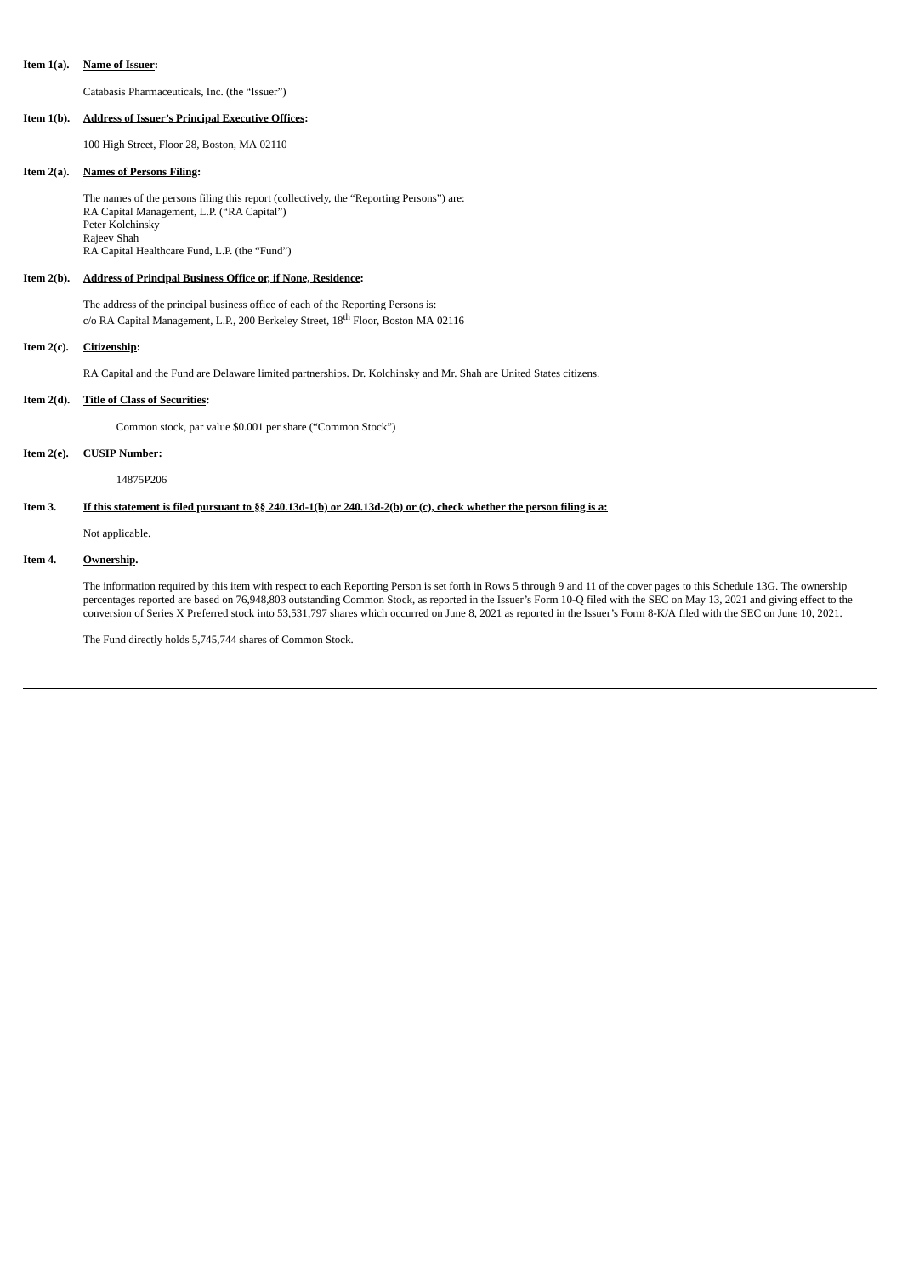#### **Item 1(a). Name of Issuer:**

Catabasis Pharmaceuticals, Inc. (the "Issuer")

### **Item 1(b). Address of Issuer's Principal Executive Offices:**

100 High Street, Floor 28, Boston, MA 02110

### **Item 2(a). Names of Persons Filing:**

The names of the persons filing this report (collectively, the "Reporting Persons") are: RA Capital Management, L.P. ("RA Capital") Peter Kolchinsky Rajeev Shah RA Capital Healthcare Fund, L.P. (the "Fund")

## **Item 2(b). Address of Principal Business Office or, if None, Residence:**

The address of the principal business office of each of the Reporting Persons is: c/o RA Capital Management, L.P., 200 Berkeley Street, 18<sup>th</sup> Floor, Boston MA 02116

## **Item 2(c). Citizenship:**

RA Capital and the Fund are Delaware limited partnerships. Dr. Kolchinsky and Mr. Shah are United States citizens.

## **Item 2(d). Title of Class of Securities:**

Common stock, par value \$0.001 per share ("Common Stock")

## **Item 2(e). CUSIP Number:**

14875P206

## Item 3. If this statement is filed pursuant to §§ 240.13d-1(b) or 240.13d-2(b) or (c), check whether the person filing is a:

Not applicable.

## **Item 4. Ownership.**

The information required by this item with respect to each Reporting Person is set forth in Rows 5 through 9 and 11 of the cover pages to this Schedule 13G. The ownership percentages reported are based on 76,948,803 outstanding Common Stock, as reported in the Issuer's Form 10-Q filed with the SEC on May 13, 2021 and giving effect to the conversion of Series X Preferred stock into 53,531,797 shares which occurred on June 8, 2021 as reported in the Issuer's Form 8-K/A filed with the SEC on June 10, 2021.

The Fund directly holds 5,745,744 shares of Common Stock.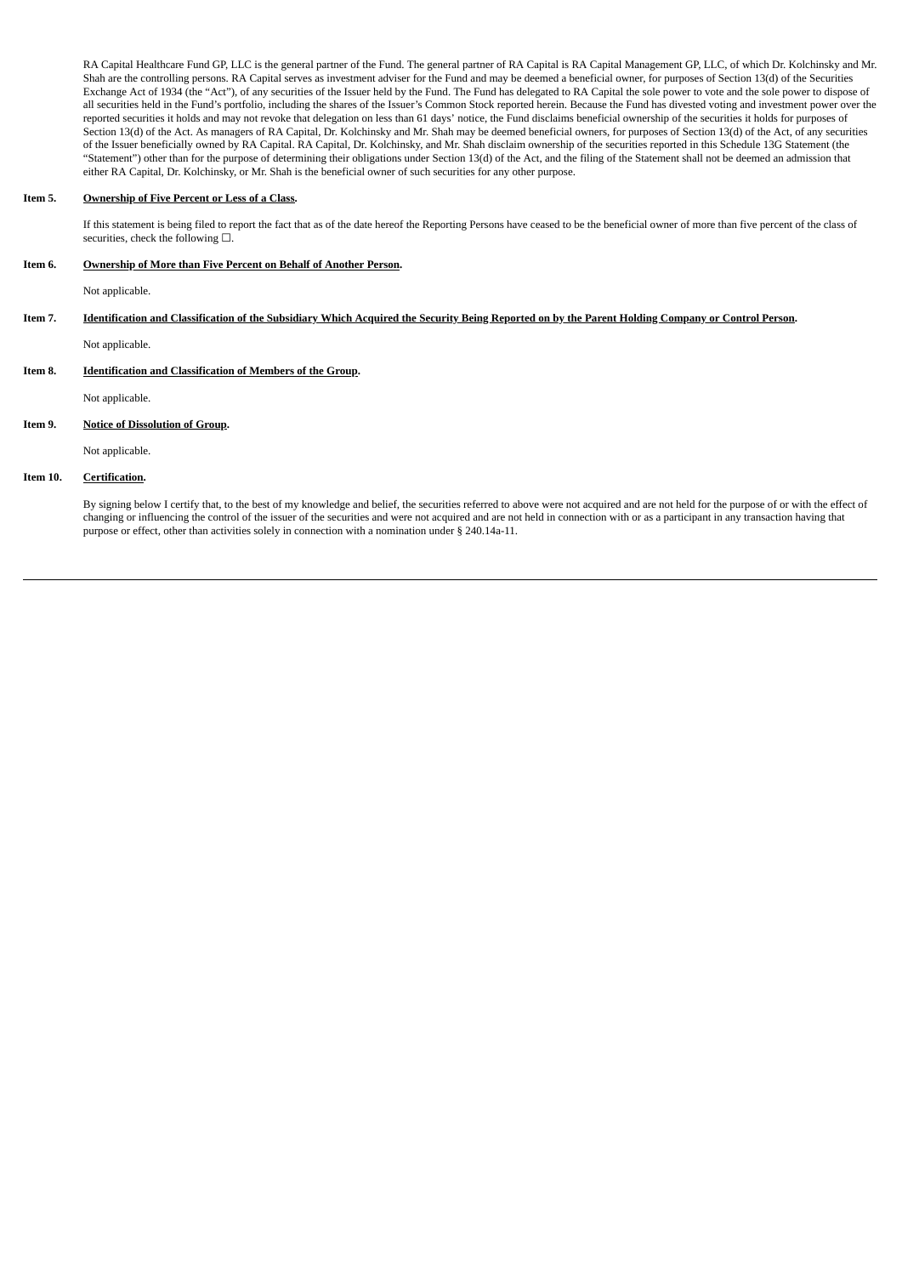RA Capital Healthcare Fund GP, LLC is the general partner of the Fund. The general partner of RA Capital is RA Capital Management GP, LLC, of which Dr. Kolchinsky and Mr. Shah are the controlling persons. RA Capital serves as investment adviser for the Fund and may be deemed a beneficial owner, for purposes of Section 13(d) of the Securities Exchange Act of 1934 (the "Act"), of any securities of the Issuer held by the Fund. The Fund has delegated to RA Capital the sole power to vote and the sole power to dispose of all securities held in the Fund's portfolio, including the shares of the Issuer's Common Stock reported herein. Because the Fund has divested voting and investment power over the reported securities it holds and may not revoke that delegation on less than 61 days' notice, the Fund disclaims beneficial ownership of the securities it holds for purposes of Section 13(d) of the Act. As managers of RA Capital, Dr. Kolchinsky and Mr. Shah may be deemed beneficial owners, for purposes of Section 13(d) of the Act, of any securities of the Issuer beneficially owned by RA Capital. RA Capital, Dr. Kolchinsky, and Mr. Shah disclaim ownership of the securities reported in this Schedule 13G Statement (the "Statement") other than for the purpose of determining their obligations under Section 13(d) of the Act, and the filing of the Statement shall not be deemed an admission that either RA Capital, Dr. Kolchinsky, or Mr. Shah is the beneficial owner of such securities for any other purpose.

### **Item 5. Ownership of Five Percent or Less of a Class.**

If this statement is being filed to report the fact that as of the date hereof the Reporting Persons have ceased to be the beneficial owner of more than five percent of the class of securities, check the following  $□$ .

## **Item 6. Ownership of More than Five Percent on Behalf of Another Person.**

Not applicable.

# Item 7. Identification and Classification of the Subsidiary Which Acquired the Security Being Reported on by the Parent Holding Company or Control Person.

Not applicable.

## **Item 8. Identification and Classification of Members of the Group.**

Not applicable.

## **Item 9. Notice of Dissolution of Group.**

Not applicable.

## **Item 10. Certification.**

By signing below I certify that, to the best of my knowledge and belief, the securities referred to above were not acquired and are not held for the purpose of or with the effect of changing or influencing the control of the issuer of the securities and were not acquired and are not held in connection with or as a participant in any transaction having that purpose or effect, other than activities solely in connection with a nomination under § 240.14a-11.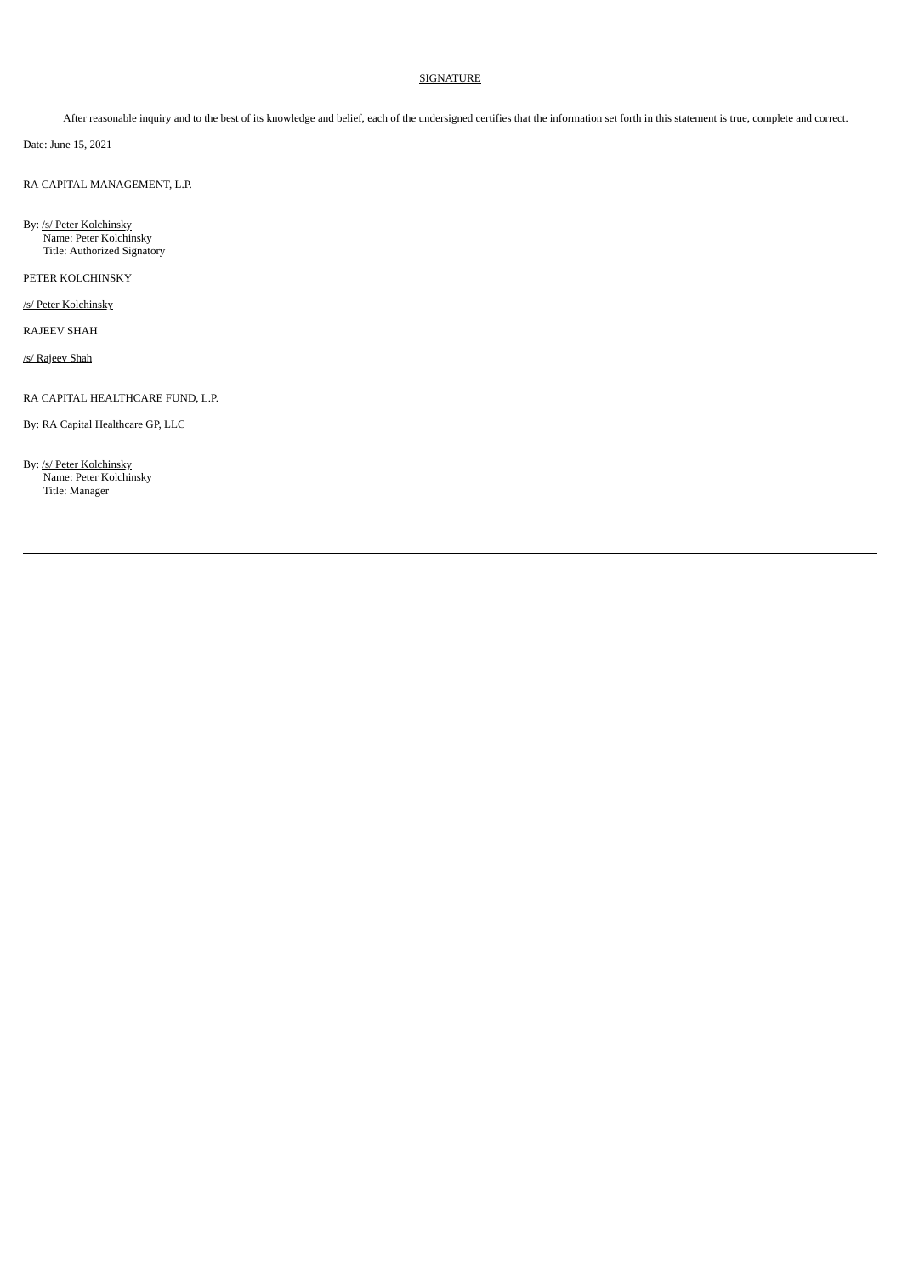## SIGNATURE

After reasonable inquiry and to the best of its knowledge and belief, each of the undersigned certifies that the information set forth in this statement is true, complete and correct.

Date: June 15, 2021

RA CAPITAL MANAGEMENT, L.P.

By: /s/ Peter Kolchinsky Name: Peter Kolchinsky Title: Authorized Signatory

PETER KOLCHINSKY

/s/ Peter Kolchinsky

RAJEEV SHAH

/s/ Rajeev Shah

RA CAPITAL HEALTHCARE FUND, L.P.

By: RA Capital Healthcare GP, LLC

By: /s/ Peter Kolchinsky Name: Peter Kolchinsky Title: Manager